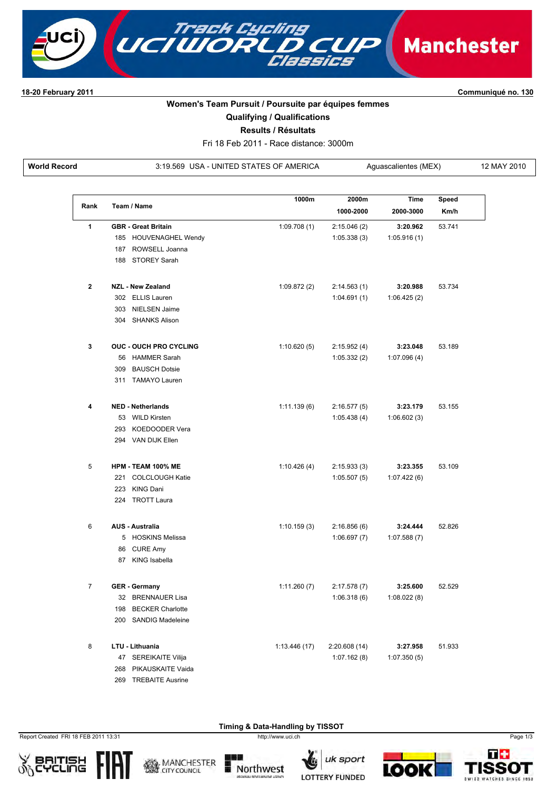

## **1820 February 2011 Communiqué no. 130**

## **Women's Team Pursuit / Poursuite par équipes femmes**

**Qualifying / Qualifications**

**Results / Résultats**

Fri 18 Feb 2011 Race distance: 3000m

**World Record** 3:19.569 USA - UNITED STATES OF AMERICA Aguascalientes (MEX) 12 MAY 2010

| Rank           | Team / Name                   | 1000m        | 2000m<br>1000-2000 | Time<br>2000-3000 | Speed<br>Km/h |  |
|----------------|-------------------------------|--------------|--------------------|-------------------|---------------|--|
|                |                               |              |                    |                   |               |  |
| 1              | <b>GBR</b> - Great Britain    | 1:09.708(1)  | 2:15.046(2)        | 3:20.962          | 53.741        |  |
|                | 185 HOUVENAGHEL Wendy         |              | 1:05.338(3)        | 1:05.916(1)       |               |  |
|                | 187 ROWSELL Joanna            |              |                    |                   |               |  |
|                | 188 STOREY Sarah              |              |                    |                   |               |  |
| $\mathbf{2}$   | <b>NZL - New Zealand</b>      | 1:09.872(2)  | 2:14.563(1)        | 3:20.988          | 53.734        |  |
|                | 302 ELLIS Lauren              |              | 1:04.691(1)        | 1:06.425(2)       |               |  |
|                | 303 NIELSEN Jaime             |              |                    |                   |               |  |
|                | 304 SHANKS Alison             |              |                    |                   |               |  |
| 3              | <b>OUC - OUCH PRO CYCLING</b> | 1:10.620(5)  | 2:15.952(4)        | 3:23.048          | 53.189        |  |
|                | 56 HAMMER Sarah               |              | 1:05.332(2)        | 1:07.096(4)       |               |  |
|                | 309 BAUSCH Dotsie             |              |                    |                   |               |  |
|                | 311 TAMAYO Lauren             |              |                    |                   |               |  |
| 4              | <b>NED - Netherlands</b>      | 1:11.139(6)  | 2:16.577(5)        | 3:23.179          | 53.155        |  |
|                | 53 WILD Kirsten               |              | 1:05.438(4)        | 1:06.602(3)       |               |  |
|                | 293 KOEDOODER Vera            |              |                    |                   |               |  |
|                | 294 VAN DIJK Ellen            |              |                    |                   |               |  |
| 5              | HPM - TEAM 100% ME            | 1:10.426(4)  | 2:15.933(3)        | 3:23.355          | 53.109        |  |
|                | 221 COLCLOUGH Katie           |              | 1:05.507(5)        | 1:07.422(6)       |               |  |
|                | 223 KING Dani                 |              |                    |                   |               |  |
|                | 224 TROTT Laura               |              |                    |                   |               |  |
| 6              | <b>AUS - Australia</b>        | 1:10.159(3)  | 2:16.856(6)        | 3:24.444          | 52.826        |  |
|                | 5 HOSKINS Melissa             |              | 1:06.697(7)        | 1:07.588(7)       |               |  |
|                | 86 CURE Amy                   |              |                    |                   |               |  |
|                | 87 KING Isabella              |              |                    |                   |               |  |
| $\overline{7}$ | <b>GER</b> - Germany          | 1:11.260(7)  | 2:17.578(7)        | 3:25.600          | 52.529        |  |
|                | 32 BRENNAUER Lisa             |              | 1:06.318(6)        | 1:08.022(8)       |               |  |
|                | 198 BECKER Charlotte          |              |                    |                   |               |  |
|                | 200 SANDIG Madeleine          |              |                    |                   |               |  |
| 8              | LTU - Lithuania               | 1:13.446(17) | 2:20.608(14)       | 3:27.958          | 51.933        |  |
|                | 47 SEREIKAITE Vilija          |              | 1:07.162(8)        | 1:07.350(5)       |               |  |
|                | 268 PIKAUSKAITE Vaida         |              |                    |                   |               |  |
|                | 269 TREBAITE Ausrine          |              |                    |                   |               |  |

Report Created FRI 18 FEB 2011 13:31 http://www.uci.ch Page 1/3







**Timing & Data-Handling by TISSOT** 





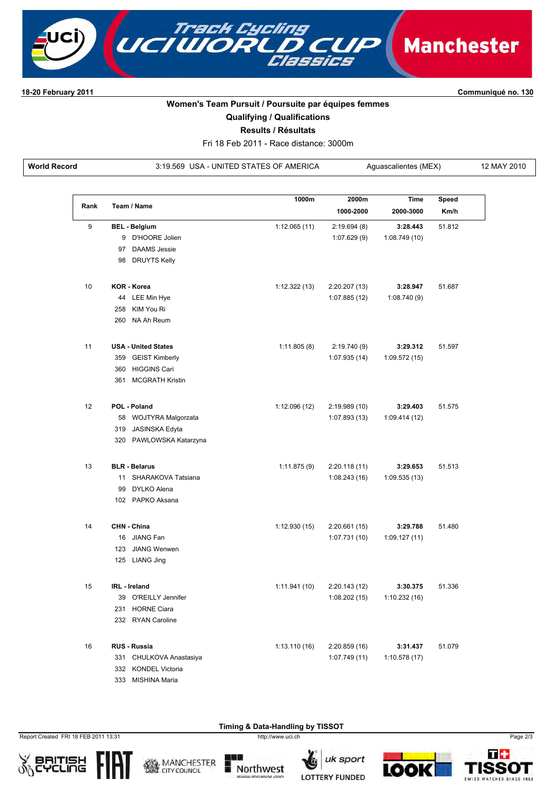

18-20 February 2011

Communiqué no. 130

## Women's Team Pursuit / Poursuite par équipes femmes

**Qualifying / Qualifications** 

Results / Résultats

Fri 18 Feb 2011 - Race distance: 3000m

**World Record** 

3:19.569 USA - UNITED STATES OF AMERICA

| Aguascalientes (MEX) |  |
|----------------------|--|
|----------------------|--|

12 MAY 2010

| Rank | Team / Name          |                            | 1000m         | 2000m                        | <b>Time</b>   | Speed  |
|------|----------------------|----------------------------|---------------|------------------------------|---------------|--------|
|      |                      |                            |               | 1000-2000                    | 2000-3000     | Km/h   |
| 9    | <b>BEL - Belgium</b> |                            | 1:12.065(11)  | 2:19.694(8)                  | 3:28.443      | 51.812 |
|      |                      | 9 D'HOORE Jolien           |               | 1:07.629(9)                  | 1:08.749(10)  |        |
|      |                      | 97 DAAMS Jessie            |               |                              |               |        |
|      |                      | 98 DRUYTS Kelly            |               |                              |               |        |
| 10   | <b>KOR - Korea</b>   |                            | 1:12.322(13)  | 2:20.207 (13)                | 3:28.947      | 51.687 |
|      |                      | 44 LEE Min Hye             |               | 1:07.885 (12)                | 1:08.740(9)   |        |
|      | 258                  | KIM You Ri                 |               |                              |               |        |
|      |                      | 260 NA Ah Reum             |               |                              |               |        |
| 11   |                      | <b>USA - United States</b> | 1:11.805(8)   |                              | 3:29.312      | 51.597 |
|      |                      | 359 GEIST Kimberly         |               | 2:19.740 (9)<br>1:07.935(14) | 1:09.572(15)  |        |
|      |                      | 360 HIGGINS Cari           |               |                              |               |        |
|      |                      | 361 MCGRATH Kristin        |               |                              |               |        |
|      |                      |                            |               |                              |               |        |
| 12   | POL - Poland         |                            | 1:12.096 (12) | 2:19.989 (10)                | 3:29.403      | 51.575 |
|      |                      | 58 WOJTYRA Malgorzata      |               | 1:07.893(13)                 | 1:09.414 (12) |        |
|      |                      | 319 JASINSKA Edyta         |               |                              |               |        |
|      |                      | 320 PAWLOWSKA Katarzyna    |               |                              |               |        |
| 13   | <b>BLR - Belarus</b> |                            | 1:11.875(9)   | 2:20.118 (11)                | 3:29.653      | 51.513 |
|      | 11                   | SHARAKOVA Tatsiana         |               | 1:08.243(16)                 | 1:09.535(13)  |        |
|      | 99                   | DYLKO Alena                |               |                              |               |        |
|      |                      | 102 PAPKO Aksana           |               |                              |               |        |
| 14   | CHN - China          |                            | 1:12.930(15)  | 2:20.661 (15)                | 3:29.788      | 51.480 |
|      |                      | 16 JIANG Fan               |               | 1:07.731(10)                 | 1:09.127(11)  |        |
|      |                      | 123 JIANG Wenwen           |               |                              |               |        |
|      | 125 LIANG Jing       |                            |               |                              |               |        |
| 15   | <b>IRL</b> - Ireland |                            | 1:11.941(10)  | 2:20.143 (12)                | 3:30.375      | 51.336 |
|      |                      | 39 O'REILLY Jennifer       |               | 1:08.202(15)                 | 1:10.232(16)  |        |
|      |                      | 231 HORNE Ciara            |               |                              |               |        |
|      |                      | 232 RYAN Caroline          |               |                              |               |        |
| 16   | <b>RUS - Russia</b>  |                            | 1:13.110(16)  | 2:20.859(16)                 | 3:31.437      | 51.079 |
|      |                      | 331 CHULKOVA Anastasiya    |               | 1:07.749(11)                 | 1:10.578(17)  |        |
|      |                      | 332 KONDEL Victoria        |               |                              |               |        |
|      |                      | 333 MISHINA Maria          |               |                              |               |        |

Report Created FRI 18 FEB 2011 13:31

兜飞



**CITY COUNCIL** 



Timing & Data-Handling by TISSOT

http://www.uci.ch







Page 2/3